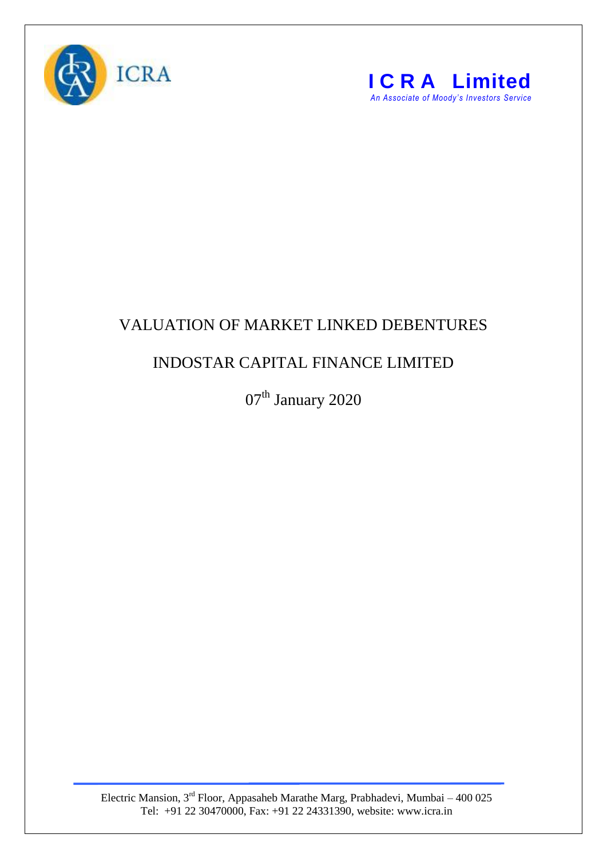



## VALUATION OF MARKET LINKED DEBENTURES

## INDOSTAR CAPITAL FINANCE LIMITED

07<sup>th</sup> January 2020

Electric Mansion, 3<sup>rd</sup> Floor, Appasaheb Marathe Marg, Prabhadevi, Mumbai – 400 025 Tel: +91 22 30470000, Fax: +91 22 24331390, website: www.icra.in